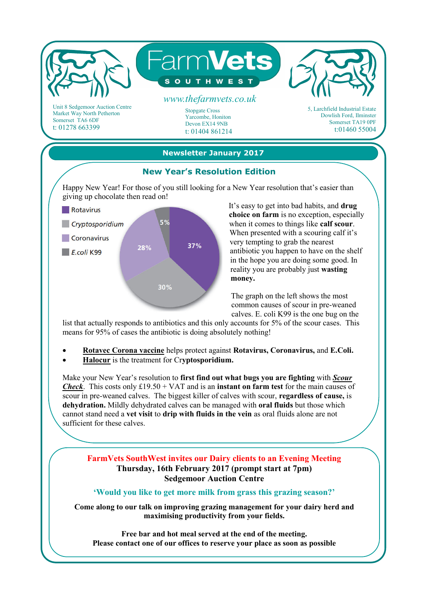